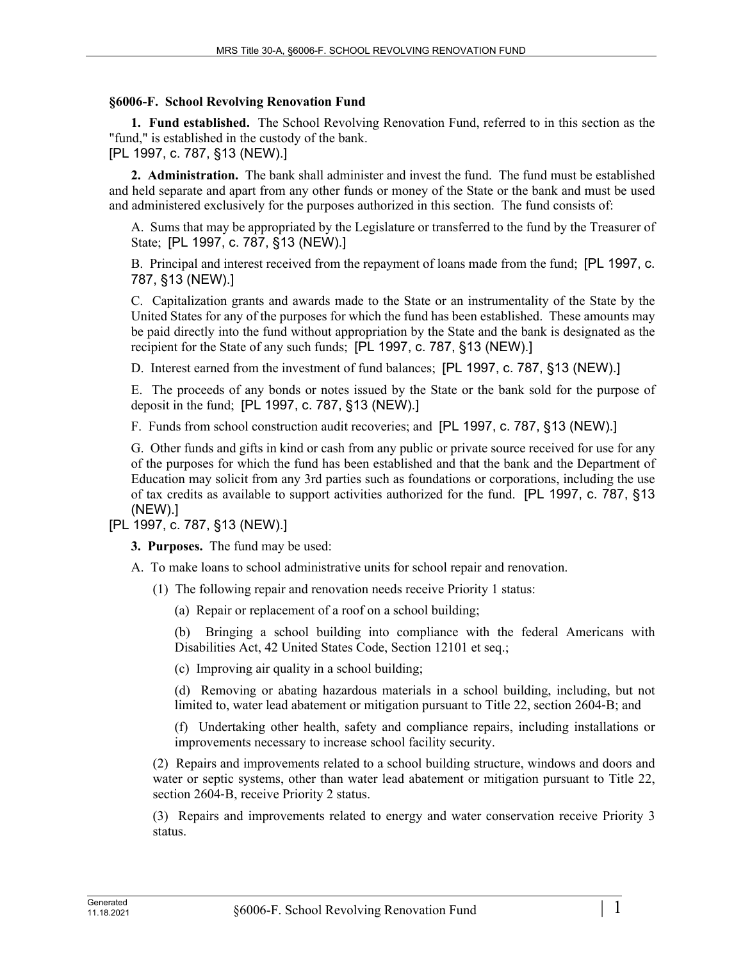## **§6006-F. School Revolving Renovation Fund**

**1. Fund established.** The School Revolving Renovation Fund, referred to in this section as the "fund," is established in the custody of the bank.

[PL 1997, c. 787, §13 (NEW).]

**2. Administration.** The bank shall administer and invest the fund. The fund must be established and held separate and apart from any other funds or money of the State or the bank and must be used and administered exclusively for the purposes authorized in this section. The fund consists of:

A. Sums that may be appropriated by the Legislature or transferred to the fund by the Treasurer of State; [PL 1997, c. 787, §13 (NEW).]

B. Principal and interest received from the repayment of loans made from the fund; [PL 1997, c. 787, §13 (NEW).]

C. Capitalization grants and awards made to the State or an instrumentality of the State by the United States for any of the purposes for which the fund has been established. These amounts may be paid directly into the fund without appropriation by the State and the bank is designated as the recipient for the State of any such funds; [PL 1997, c. 787, §13 (NEW).]

D. Interest earned from the investment of fund balances; [PL 1997, c. 787, §13 (NEW).]

E. The proceeds of any bonds or notes issued by the State or the bank sold for the purpose of deposit in the fund; [PL 1997, c. 787, §13 (NEW).]

F. Funds from school construction audit recoveries; and [PL 1997, c. 787, §13 (NEW).]

G. Other funds and gifts in kind or cash from any public or private source received for use for any of the purposes for which the fund has been established and that the bank and the Department of Education may solicit from any 3rd parties such as foundations or corporations, including the use of tax credits as available to support activities authorized for the fund. [PL 1997, c. 787, §13 (NEW).]

[PL 1997, c. 787, §13 (NEW).]

**3. Purposes.** The fund may be used:

- A. To make loans to school administrative units for school repair and renovation.
	- (1) The following repair and renovation needs receive Priority 1 status:

(a) Repair or replacement of a roof on a school building;

(b) Bringing a school building into compliance with the federal Americans with Disabilities Act, 42 United States Code, Section 12101 et seq.;

(c) Improving air quality in a school building;

(d) Removing or abating hazardous materials in a school building, including, but not limited to, water lead abatement or mitigation pursuant to Title 22, section 2604‑B; and

(f) Undertaking other health, safety and compliance repairs, including installations or improvements necessary to increase school facility security.

(2) Repairs and improvements related to a school building structure, windows and doors and water or septic systems, other than water lead abatement or mitigation pursuant to Title 22, section 2604-B, receive Priority 2 status.

(3) Repairs and improvements related to energy and water conservation receive Priority 3 status.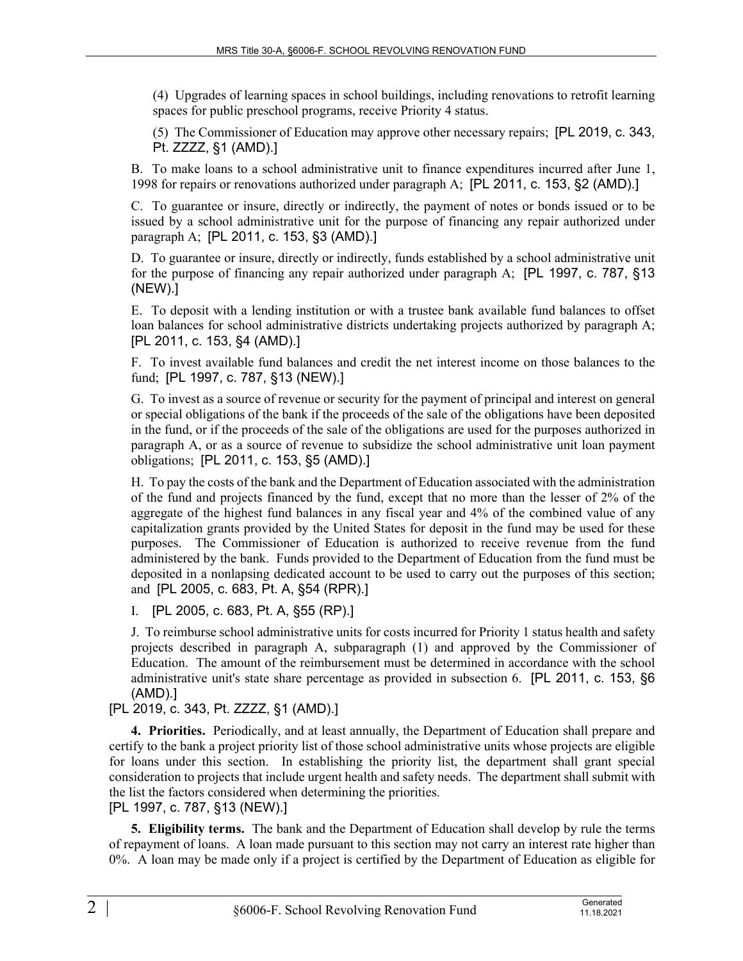(4) Upgrades of learning spaces in school buildings, including renovations to retrofit learning spaces for public preschool programs, receive Priority 4 status.

(5) The Commissioner of Education may approve other necessary repairs; [PL 2019, c. 343, Pt. ZZZZ, §1 (AMD).]

B. To make loans to a school administrative unit to finance expenditures incurred after June 1, 1998 for repairs or renovations authorized under paragraph A; [PL 2011, c. 153, §2 (AMD).]

C. To guarantee or insure, directly or indirectly, the payment of notes or bonds issued or to be issued by a school administrative unit for the purpose of financing any repair authorized under paragraph A; [PL 2011, c. 153, §3 (AMD).]

D. To guarantee or insure, directly or indirectly, funds established by a school administrative unit for the purpose of financing any repair authorized under paragraph A; [PL 1997, c. 787, §13 (NEW).]

E. To deposit with a lending institution or with a trustee bank available fund balances to offset loan balances for school administrative districts undertaking projects authorized by paragraph A; [PL 2011, c. 153, §4 (AMD).]

F. To invest available fund balances and credit the net interest income on those balances to the fund; [PL 1997, c. 787, §13 (NEW).]

G. To invest as a source of revenue or security for the payment of principal and interest on general or special obligations of the bank if the proceeds of the sale of the obligations have been deposited in the fund, or if the proceeds of the sale of the obligations are used for the purposes authorized in paragraph A, or as a source of revenue to subsidize the school administrative unit loan payment obligations; [PL 2011, c. 153, §5 (AMD).]

H. To pay the costs of the bank and the Department of Education associated with the administration of the fund and projects financed by the fund, except that no more than the lesser of 2% of the aggregate of the highest fund balances in any fiscal year and 4% of the combined value of any capitalization grants provided by the United States for deposit in the fund may be used for these purposes. The Commissioner of Education is authorized to receive revenue from the fund administered by the bank. Funds provided to the Department of Education from the fund must be deposited in a nonlapsing dedicated account to be used to carry out the purposes of this section; and [PL 2005, c. 683, Pt. A, §54 (RPR).]

I. [PL 2005, c. 683, Pt. A, §55 (RP).]

J. To reimburse school administrative units for costs incurred for Priority 1 status health and safety projects described in paragraph A, subparagraph (1) and approved by the Commissioner of Education. The amount of the reimbursement must be determined in accordance with the school administrative unit's state share percentage as provided in subsection 6. [PL 2011, c. 153, §6 (AMD).]

[PL 2019, c. 343, Pt. ZZZZ, §1 (AMD).]

**4. Priorities.** Periodically, and at least annually, the Department of Education shall prepare and certify to the bank a project priority list of those school administrative units whose projects are eligible for loans under this section. In establishing the priority list, the department shall grant special consideration to projects that include urgent health and safety needs. The department shall submit with the list the factors considered when determining the priorities.

## [PL 1997, c. 787, §13 (NEW).]

**5. Eligibility terms.** The bank and the Department of Education shall develop by rule the terms of repayment of loans. A loan made pursuant to this section may not carry an interest rate higher than 0%. A loan may be made only if a project is certified by the Department of Education as eligible for